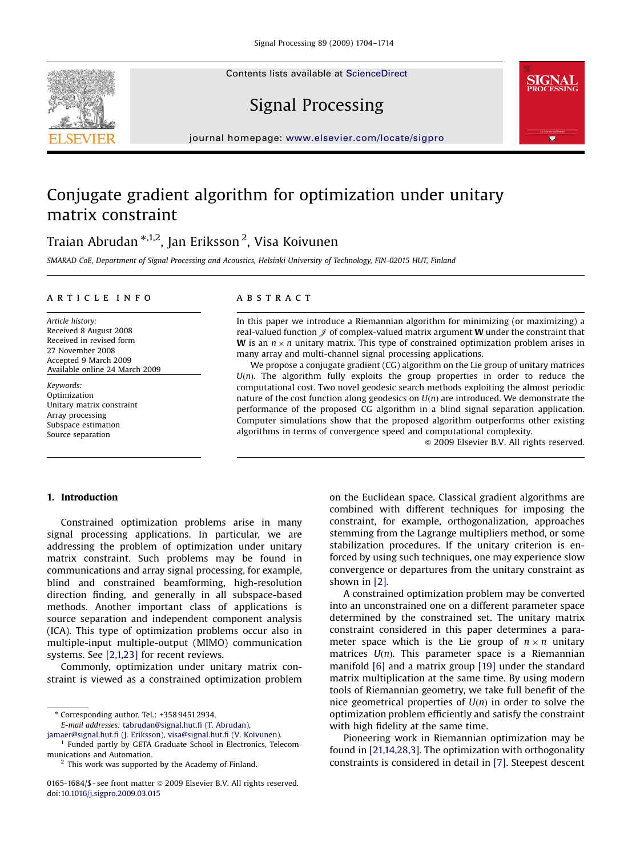Contents lists available at [ScienceDirect](www.sciencedirect.com/science/journal/sigpro)







journal homepage: <www.elsevier.com/locate/sigpro>

# Conjugate gradient algorithm for optimization under unitary matrix constraint

# Traian Abrudan \*<sup>,1,2</sup>, Jan Eriksson <sup>2</sup>, Visa Koivunen

SMARAD CoE, Department of Signal Processing and Acoustics, Helsinki University of Technology, FIN-02015 HUT, Finland

## article info

Article history: Received 8 August 2008 Received in revised form 27 November 2008 Accepted 9 March 2009 Available online 24 March 2009

Keywords: Optimization Unitary matrix constraint Array processing Subspace estimation Source separation

# **ABSTRACT**

In this paper we introduce a Riemannian algorithm for minimizing (or maximizing) a real-valued function  $\mathcal J$  of complex-valued matrix argument **W** under the constraint that **W** is an  $n \times n$  unitary matrix. This type of constrained optimization problem arises in many array and multi-channel signal processing applications.

We propose a conjugate gradient (CG) algorithm on the Lie group of unitary matrices  $U(n)$ . The algorithm fully exploits the group properties in order to reduce the computational cost. Two novel geodesic search methods exploiting the almost periodic nature of the cost function along geodesics on  $U(n)$  are introduced. We demonstrate the performance of the proposed CG algorithm in a blind signal separation application. Computer simulations show that the proposed algorithm outperforms other existing algorithms in terms of convergence speed and computational complexity.

 $\odot$  2009 Elsevier B.V. All rights reserved.

## 1. Introduction

Constrained optimization problems arise in many signal processing applications. In particular, we are addressing the problem of optimization under unitary matrix constraint. Such problems may be found in communications and array signal processing, for example, blind and constrained beamforming, high-resolution direction finding, and generally in all subspace-based methods. Another important class of applications is source separation and independent component analysis (ICA). This type of optimization problems occur also in multiple-input multiple-output (MIMO) communication systems. See [\[2,1,23\]](#page-10-0) for recent reviews.

Commonly, optimization under unitary matrix constraint is viewed as a constrained optimization problem

- Corresponding author. Tel.: +358 9451 2934.

E-mail addresses: [tabrudan@signal.hut.fi \(T. Abrudan\),](mailto:tabrudan@signal.hut.fi)

[jamaer@signal.hut.fi \(J. Eriksson\),](mailto:jamaer@signal.hut.fi) [visa@signal.hut.fi \(V. Koivunen\).](mailto:visa@signal.hut.fi)

<sup>1</sup> Funded partly by GETA Graduate School in Electronics, Telecommunications and Automation.

on the Euclidean space. Classical gradient algorithms are combined with different techniques for imposing the constraint, for example, orthogonalization, approaches stemming from the Lagrange multipliers method, or some stabilization procedures. If the unitary criterion is enforced by using such techniques, one may experience slow convergence or departures from the unitary constraint as shown in [\[2\]](#page-10-0).

A constrained optimization problem may be converted into an unconstrained one on a different parameter space determined by the constrained set. The unitary matrix constraint considered in this paper determines a parameter space which is the Lie group of  $n \times n$  unitary matrices  $U(n)$ . This parameter space is a Riemannian manifold [\[6\]](#page-10-0) and a matrix group [\[19\]](#page-10-0) under the standard matrix multiplication at the same time. By using modern tools of Riemannian geometry, we take full benefit of the nice geometrical properties of  $U(n)$  in order to solve the optimization problem efficiently and satisfy the constraint with high fidelity at the same time.

Pioneering work in Riemannian optimization may be found in [\[21,14,28,3\].](#page-10-0) The optimization with orthogonality constraints is considered in detail in [\[7\].](#page-10-0) Steepest descent

 $2$  This work was supported by the Academy of Finland.

<sup>0165-1684/\$ -</sup> see front matter  $\odot$  2009 Elsevier B.V. All rights reserved. doi:[10.1016/j.sigpro.2009.03.015](dx.doi.org/10.1016/j.sigpro.2009.03.015)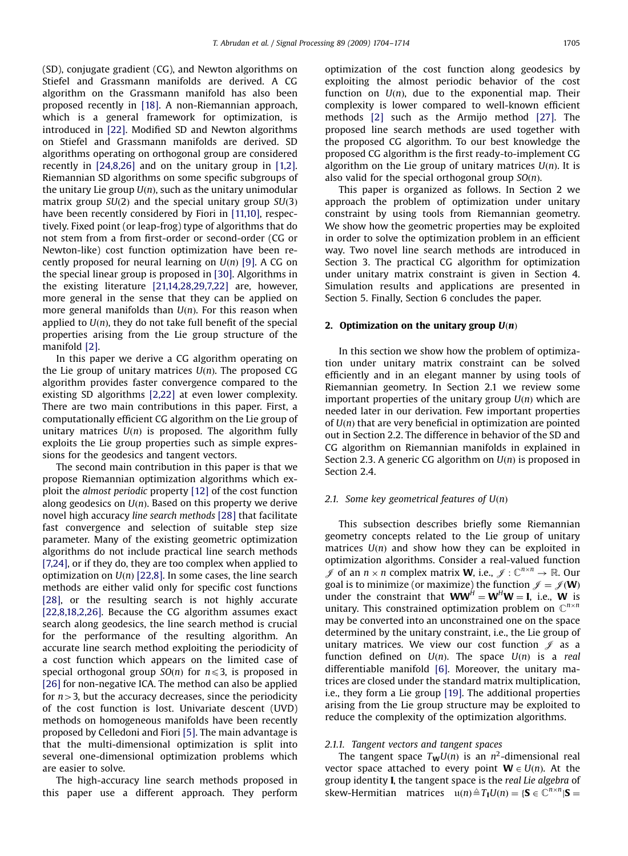(SD), conjugate gradient (CG), and Newton algorithms on Stiefel and Grassmann manifolds are derived. A CG algorithm on the Grassmann manifold has also been proposed recently in [\[18\].](#page-10-0) A non-Riemannian approach, which is a general framework for optimization, is introduced in [\[22\].](#page-10-0) Modified SD and Newton algorithms on Stiefel and Grassmann manifolds are derived. SD algorithms operating on orthogonal group are considered recently in [\[24,8,26\]](#page-10-0) and on the unitary group in [\[1,2\]](#page-10-0). Riemannian SD algorithms on some specific subgroups of the unitary Lie group  $U(n)$ , such as the unitary unimodular matrix group  $SU(2)$  and the special unitary group  $SU(3)$ have been recently considered by Fiori in [\[11,10\]](#page-10-0), respectively. Fixed point (or leap-frog) type of algorithms that do not stem from a from first-order or second-order (CG or Newton-like) cost function optimization have been recently proposed for neural learning on  $U(n)$  [\[9\].](#page-10-0) A CG on the special linear group is proposed in [\[30\]](#page-10-0). Algorithms in the existing literature [\[21,14,28,29,7,22\]](#page-10-0) are, however, more general in the sense that they can be applied on more general manifolds than  $U(n)$ . For this reason when applied to  $U(n)$ , they do not take full benefit of the special properties arising from the Lie group structure of the manifold [\[2\].](#page-10-0)

In this paper we derive a CG algorithm operating on the Lie group of unitary matrices  $U(n)$ . The proposed CG algorithm provides faster convergence compared to the existing SD algorithms [\[2,22\]](#page-10-0) at even lower complexity. There are two main contributions in this paper. First, a computationally efficient CG algorithm on the Lie group of unitary matrices  $U(n)$  is proposed. The algorithm fully exploits the Lie group properties such as simple expressions for the geodesics and tangent vectors.

The second main contribution in this paper is that we propose Riemannian optimization algorithms which exploit the almost periodic property [\[12\]](#page-10-0) of the cost function along geodesics on  $U(n)$ . Based on this property we derive novel high accuracy line search methods [\[28\]](#page-10-0) that facilitate fast convergence and selection of suitable step size parameter. Many of the existing geometric optimization algorithms do not include practical line search methods [\[7,24\],](#page-10-0) or if they do, they are too complex when applied to optimization on  $U(n)$  [\[22,8\]](#page-10-0). In some cases, the line search methods are either valid only for specific cost functions [\[28\],](#page-10-0) or the resulting search is not highly accurate [\[22,8,18,2,26\].](#page-10-0) Because the CG algorithm assumes exact search along geodesics, the line search method is crucial for the performance of the resulting algorithm. An accurate line search method exploiting the periodicity of a cost function which appears on the limited case of special orthogonal group  $SO(n)$  for  $n \leq 3$ , is proposed in [\[26\]](#page-10-0) for non-negative ICA. The method can also be applied for  $n>3$ , but the accuracy decreases, since the periodicity of the cost function is lost. Univariate descent (UVD) methods on homogeneous manifolds have been recently proposed by Celledoni and Fiori [\[5\]](#page-10-0). The main advantage is that the multi-dimensional optimization is split into several one-dimensional optimization problems which are easier to solve.

The high-accuracy line search methods proposed in this paper use a different approach. They perform optimization of the cost function along geodesics by exploiting the almost periodic behavior of the cost function on  $U(n)$ , due to the exponential map. Their complexity is lower compared to well-known efficient methods [\[2\]](#page-10-0) such as the Armijo method [\[27\].](#page-10-0) The proposed line search methods are used together with the proposed CG algorithm. To our best knowledge the proposed CG algorithm is the first ready-to-implement CG algorithm on the Lie group of unitary matrices  $U(n)$ . It is also valid for the special orthogonal group  $SO(n)$ .

This paper is organized as follows. In Section 2 we approach the problem of optimization under unitary constraint by using tools from Riemannian geometry. We show how the geometric properties may be exploited in order to solve the optimization problem in an efficient way. Two novel line search methods are introduced in Section 3. The practical CG algorithm for optimization under unitary matrix constraint is given in Section 4. Simulation results and applications are presented in Section 5. Finally, Section 6 concludes the paper.

## 2. Optimization on the unitary group  $U(n)$

In this section we show how the problem of optimization under unitary matrix constraint can be solved efficiently and in an elegant manner by using tools of Riemannian geometry. In Section 2.1 we review some important properties of the unitary group  $U(n)$  which are needed later in our derivation. Few important properties of  $U(n)$  that are very beneficial in optimization are pointed out in Section 2.2. The difference in behavior of the SD and CG algorithm on Riemannian manifolds in explained in Section 2.3. A generic CG algorithm on  $U(n)$  is proposed in Section 2.4.

## 2.1. Some key geometrical features of  $U(n)$

This subsection describes briefly some Riemannian geometry concepts related to the Lie group of unitary matrices  $U(n)$  and show how they can be exploited in optimization algorithms. Consider a real-valued function  $\mathscr J$  of an  $n \times n$  complex matrix **W**, i.e.,  $\mathscr J : \mathbb C^{n \times n} \to \mathbb R$ . Our goal is to minimize (or maximize) the function  $\mathcal{J} = \mathcal{J}(\mathbf{W})$ under the constraint that  $WW^H = W^H W = I$ , i.e., W is unitary. This constrained optimization problem on  $\mathbb{C}^{n \times n}$ may be converted into an unconstrained one on the space determined by the unitary constraint, i.e., the Lie group of unitary matrices. We view our cost function  $\mathscr J$  as a function defined on  $U(n)$ . The space  $U(n)$  is a real differentiable manifold [\[6\]](#page-10-0). Moreover, the unitary matrices are closed under the standard matrix multiplication, i.e., they form a Lie group [\[19\]](#page-10-0). The additional properties arising from the Lie group structure may be exploited to reduce the complexity of the optimization algorithms.

#### 2.1.1. Tangent vectors and tangent spaces

The tangent space  $T_{\mathbf{W}}U(n)$  is an  $n^2$ -dimensional real vector space attached to every point  $W \in U(n)$ . At the group identity I, the tangent space is the real Lie algebra of skew-Hermitian matrices  $u(n) \triangleq T_I U(n) = \{ S \in \overline{C}^{n \times n} | S =$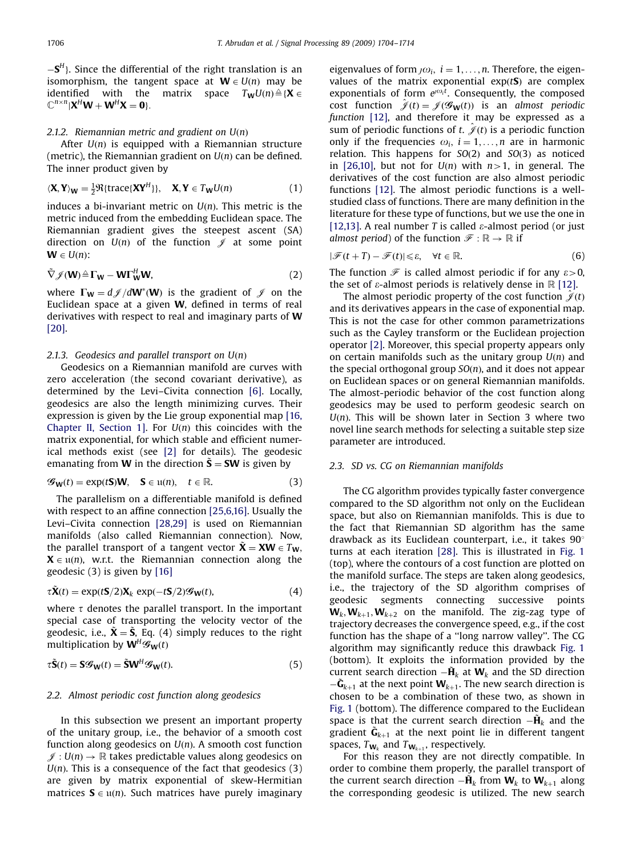$-S<sup>H</sup>$ ). Since the differential of the right translation is an isomorphism, the tangent space at  $W \in U(n)$  may be identified with the matrix space  $T_wU(n) \triangleq \{X \in$  $\mathbb{C}^{n \times n} | \mathbf{X}^H \mathbf{W} + \mathbf{W}^H \mathbf{X} = \mathbf{0} \}.$ 

# 2.1.2. Riemannian metric and gradient on  $U(n)$

After  $U(n)$  is equipped with a Riemannian structure (metric), the Riemannian gradient on  $U(n)$  can be defined. The inner product given by

$$
\langle \mathbf{X}, \mathbf{Y} \rangle_{\mathbf{W}} = \frac{1}{2} \Re \{ \text{trace} \{ \mathbf{X} \mathbf{Y}^{H} \} \}, \quad \mathbf{X}, \mathbf{Y} \in T_{\mathbf{W}} U(n) \tag{1}
$$

induces a bi-invariant metric on  $U(n)$ . This metric is the metric induced from the embedding Euclidean space. The Riemannian gradient gives the steepest ascent (SA) direction on  $U(n)$  of the function  $\mathscr J$  at some point  $W \in U(n)$ :

$$
\tilde{\nabla} \mathscr{J}(\mathbf{W}) \triangleq \Gamma_{\mathbf{W}} - \mathbf{W} \Gamma_{\mathbf{W}}^{H} \mathbf{W},\tag{2}
$$

where  $\Gamma_W = d \mathscr{J}/dW^*(W)$  is the gradient of  $\mathscr{J}$  on the Euclidean space at a given W, defined in terms of real derivatives with respect to real and imaginary parts of W [\[20\]](#page-10-0).

## 2.1.3. Geodesics and parallel transport on  $U(n)$

Geodesics on a Riemannian manifold are curves with zero acceleration (the second covariant derivative), as determined by the Levi–Civita connection [\[6\].](#page-10-0) Locally, geodesics are also the length minimizing curves. Their expression is given by the Lie group exponential map [\[16,](#page-10-0) [Chapter II, Section 1\]](#page-10-0). For  $U(n)$  this coincides with the matrix exponential, for which stable and efficient numerical methods exist (see [\[2\]](#page-10-0) for details). The geodesic emanating from **W** in the direction  $\tilde{\mathbf{S}} = \mathbf{SW}$  is given by

$$
\mathcal{G}_{\mathbf{W}}(t) = \exp(t\mathbf{S})\mathbf{W}, \quad \mathbf{S} \in \mathfrak{u}(n), \quad t \in \mathbb{R}.\tag{3}
$$

The parallelism on a differentiable manifold is defined with respect to an affine connection [\[25,6,16\]](#page-10-0). Usually the Levi–Civita connection [\[28,29\]](#page-10-0) is used on Riemannian manifolds (also called Riemannian connection). Now, the parallel transport of a tangent vector  $\tilde{\mathbf{X}} = \mathbf{X}\mathbf{W} \in T_{\mathbf{W}}$ ,  $X \in u(n)$ , w.r.t. the Riemannian connection along the geodesic (3) is given by [\[16\]](#page-10-0)

$$
\tau \tilde{\mathbf{X}}(t) = \exp(t\mathbf{S}/2)\mathbf{X}_k \exp(-t\mathbf{S}/2)\mathcal{G}_{\mathbf{W}}(t),
$$
\n(4)

where  $\tau$  denotes the parallel transport. In the important special case of transporting the velocity vector of the geodesic, i.e.,  $\tilde{\mathbf{X}} = \tilde{\mathbf{S}}$ , Eq. (4) simply reduces to the right multiplication by  $W^H\mathscr{G}_W(t)$ 

$$
\tau \tilde{\mathbf{S}}(t) = \mathbf{S} \mathcal{G}_{\mathbf{W}}(t) = \tilde{\mathbf{S}} \mathbf{W}^{H} \mathcal{G}_{\mathbf{W}}(t).
$$
 (5)

#### 2.2. Almost periodic cost function along geodesics

In this subsection we present an important property of the unitary group, i.e., the behavior of a smooth cost function along geodesics on  $U(n)$ . A smooth cost function  $\mathscr{J}: U(n) \to \mathbb{R}$  takes predictable values along geodesics on  $U(n)$ . This is a consequence of the fact that geodesics (3) are given by matrix exponential of skew-Hermitian matrices  $S \in \mathfrak{u}(n)$ . Such matrices have purely imaginary eigenvalues of form  $j\omega_i$ ,  $i = 1, \ldots, n$ . Therefore, the eigenvalues of the matrix exponential  $exp(tS)$  are complex exponentials of form  $e^{\omega_0 t}$ . Consequently, the composed cost function  $\hat{\mathscr{J}}(t) = \mathscr{J}(\mathscr{G}_{\mathbf{W}}(t))$  is an almost periodic function [\[12\]](#page-10-0), and therefore it may be expressed as a sum of periodic functions of t.  $\hat{\mathcal{J}}(t)$  is a periodic function only if the frequencies  $\omega_i$ ,  $i = 1, \ldots, n$  are in harmonic relation. This happens for  $SO(2)$  and  $SO(3)$  as noticed in [\[26,10\],](#page-10-0) but not for  $U(n)$  with  $n>1$ , in general. The derivatives of the cost function are also almost periodic functions [\[12\].](#page-10-0) The almost periodic functions is a wellstudied class of functions. There are many definition in the literature for these type of functions, but we use the one in [\[12,13\].](#page-10-0) A real number T is called  $\varepsilon$ -almost period (or just almost period) of the function  $\mathscr{F} : \mathbb{R} \to \mathbb{R}$  if

$$
|\mathcal{F}(t+T) - \mathcal{F}(t)| \leq \varepsilon, \quad \forall t \in \mathbb{R}.
$$

The function  $\mathcal F$  is called almost periodic if for any  $\varepsilon > 0$ , the set of  $\varepsilon$ -almost periods is relatively dense in  $\mathbb R$  [\[12\]](#page-10-0).

The almost periodic property of the cost function  $\hat{\mathcal{J}}(t)$ and its derivatives appears in the case of exponential map. This is not the case for other common parametrizations such as the Cayley transform or the Euclidean projection operator [\[2\].](#page-10-0) Moreover, this special property appears only on certain manifolds such as the unitary group  $U(n)$  and the special orthogonal group  $SO(n)$ , and it does not appear on Euclidean spaces or on general Riemannian manifolds. The almost-periodic behavior of the cost function along geodesics may be used to perform geodesic search on  $U(n)$ . This will be shown later in Section 3 where two novel line search methods for selecting a suitable step size parameter are introduced.

## 2.3. SD vs. CG on Riemannian manifolds

The CG algorithm provides typically faster convergence compared to the SD algorithm not only on the Euclidean space, but also on Riemannian manifolds. This is due to the fact that Riemannian SD algorithm has the same drawback as its Euclidean counterpart, i.e., it takes  $90^\circ$ turns at each iteration [\[28\]](#page-10-0). This is illustrated in [Fig. 1](#page-3-0) (top), where the contours of a cost function are plotted on the manifold surface. The steps are taken along geodesics, i.e., the trajectory of the SD algorithm comprises of geodesic segments connecting successive points  $W_k, W_{k+1}, W_{k+2}$  on the manifold. The zig-zag type of trajectory decreases the convergence speed, e.g., if the cost function has the shape of a ''long narrow valley''. The CG algorithm may significantly reduce this drawback [Fig. 1](#page-3-0) (bottom). It exploits the information provided by the current search direction  $-\tilde{H}_k$  at  $W_k$  and the SD direction  $-\tilde{\mathbf{G}}_{k+1}$  at the next point  $\mathbf{W}_{k+1}$ . The new search direction is chosen to be a combination of these two, as shown in [Fig. 1](#page-3-0) (bottom). The difference compared to the Euclidean space is that the current search direction  $-\tilde{H}_k$  and the gradient  $\tilde{\mathbf{G}}_{k+1}$  at the next point lie in different tangent spaces,  $T_{\mathbf{W}_k}$  and  $T_{\mathbf{W}_{k+1}}$ , respectively.

For this reason they are not directly compatible. In order to combine them properly, the parallel transport of the current search direction  $-\mathbf{H}_k$  from  $\mathbf{W}_k$  to  $\mathbf{W}_{k+1}$  along the corresponding geodesic is utilized. The new search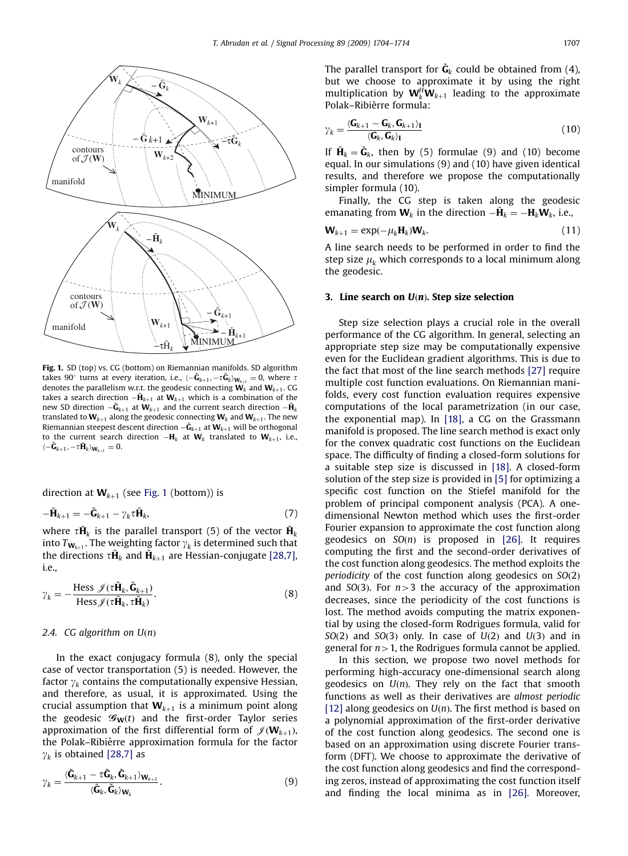<span id="page-3-0"></span>

Fig. 1. SD (top) vs. CG (bottom) on Riemannian manifolds. SD algorithm takes 90° turns at every iteration, i.e.,  $\langle -\tilde{\mathbf{G}}_{k+1}, -\tau \tilde{\mathbf{G}}_k \rangle_{\mathbf{W}_{k+1}} = 0$ , where  $\tau$ denotes the parallelism w.r.t. the geodesic connecting  $\mathbf{W}_k$  and  $\mathbf{W}_{k+1}$ . CG takes a search direction  $-\tilde{\mathbf{H}}_{k+1}$  at  $\mathbf{W}_{k+1}$  which is a combination of the new SD direction  $-\mathbf{\tilde{G}}_{k+1}$  at  $\mathbf{W}_{k+1}$  and the current search direction  $-\mathbf{\tilde{H}}_{k}$ translated to  $W_{k+1}$  along the geodesic connecting  $W_k$  and  $W_{k+1}$ . The new Riemannian steepest descent direction  $-\mathbf{\tilde{G}}_{k+1}$  at  $\mathbf{W}_{k+1}$  will be orthogonal to the current search direction  $-\mathbf{H}_k$  at  $\mathbf{W}_k$  translated to  $\mathbf{W}_{k+1}$ , i.e.,  $\langle -\tilde{\mathbf{G}}_{k+1}, -\tau \tilde{\mathbf{H}}_k \rangle_{\mathbf{W}_{k+1}} = 0.$ 

direction at  $W_{k+1}$  (see Fig. 1 (bottom)) is

$$
-\tilde{\mathbf{H}}_{k+1} = -\tilde{\mathbf{G}}_{k+1} - \gamma_k \tau \tilde{\mathbf{H}}_k, \tag{7}
$$

where  $\tau \tilde{H}_k$  is the parallel transport (5) of the vector  $\tilde{H}_k$ into  $T_{\mathbf{W}_{k+1}}$ . The weighting factor  $\gamma_k$  is determined such that the directions  $\tau \tilde{\mathbf{H}}_k$  and  $\tilde{\mathbf{H}}_{k+1}$  are Hessian-conjugate [\[28,7\]](#page-10-0), i.e.,

$$
\gamma_k = -\frac{\text{Hess }\mathscr{J}(\tau \tilde{\mathbf{H}}_k, \tilde{\mathbf{G}}_{k+1})}{\text{Hess }\mathscr{J}(\tau \tilde{\mathbf{H}}_k, \tau \tilde{\mathbf{H}}_k)}.
$$
(8)

### 2.4. CG algorithm on  $U(n)$

In the exact conjugacy formula (8), only the special case of vector transportation (5) is needed. However, the factor  $\gamma_k$  contains the computationally expensive Hessian, and therefore, as usual, it is approximated. Using the crucial assumption that  $W_{k+1}$  is a minimum point along the geodesic  $\mathcal{G}_{W}(t)$  and the first-order Taylor series approximation of the first differential form of  $\mathscr{J}(\mathbf{W}_{k+1})$ , the Polak–Ribièrre approximation formula for the factor  $\gamma_k$  is obtained [\[28,7\]](#page-10-0) as

$$
\gamma_k = \frac{\langle \tilde{\mathbf{G}}_{k+1} - \tau \tilde{\mathbf{G}}_k, \tilde{\mathbf{G}}_{k+1} \rangle_{\mathbf{W}_{k+1}}}{\langle \tilde{\mathbf{G}}_k, \tilde{\mathbf{G}}_k \rangle_{\mathbf{W}_k}}.
$$
(9)

The parallel transport for  $\tilde{\textbf{G}}_k$  could be obtained from (4), but we choose to approximate it by using the right multiplication by  $\mathbf{W}_k^H \mathbf{W}_{k+1}$  leading to the approximate Polak–Ribièrre formula:

$$
\gamma_k = \frac{\langle \mathbf{G}_{k+1} - \mathbf{G}_k, \mathbf{G}_{k+1} \rangle_I}{\langle \mathbf{G}_k, \mathbf{G}_k \rangle_I}
$$
(10)

If  $\tilde{\mathbf{H}}_k = \tilde{\mathbf{G}}_k$ , then by (5) formulae (9) and (10) become equal. In our simulations (9) and (10) have given identical results, and therefore we propose the computationally simpler formula (10).

Finally, the CG step is taken along the geodesic emanating from  **in the direction**  $-\tilde{H}_k = -H_k**W**<sub>k</sub>$ **, i.e.,** 

$$
\mathbf{W}_{k+1} = \exp(-\mu_k \mathbf{H}_k) \mathbf{W}_k. \tag{11}
$$

A line search needs to be performed in order to find the step size  $\mu_k$  which corresponds to a local minimum along the geodesic.

## 3. Line search on  $U(n)$ . Step size selection

Step size selection plays a crucial role in the overall performance of the CG algorithm. In general, selecting an appropriate step size may be computationally expensive even for the Euclidean gradient algorithms. This is due to the fact that most of the line search methods [\[27\]](#page-10-0) require multiple cost function evaluations. On Riemannian manifolds, every cost function evaluation requires expensive computations of the local parametrization (in our case, the exponential map). In [\[18\]](#page-10-0), a CG on the Grassmann manifold is proposed. The line search method is exact only for the convex quadratic cost functions on the Euclidean space. The difficulty of finding a closed-form solutions for a suitable step size is discussed in [\[18\].](#page-10-0) A closed-form solution of the step size is provided in [\[5\]](#page-10-0) for optimizing a specific cost function on the Stiefel manifold for the problem of principal component analysis (PCA). A onedimensional Newton method which uses the first-order Fourier expansion to approximate the cost function along geodesics on  $SO(n)$  is proposed in [\[26\]](#page-10-0). It requires computing the first and the second-order derivatives of the cost function along geodesics. The method exploits the periodicity of the cost function along geodesics on  $SO(2)$ and  $SO(3)$ . For  $n>3$  the accuracy of the approximation decreases, since the periodicity of the cost functions is lost. The method avoids computing the matrix exponential by using the closed-form Rodrigues formula, valid for  $SO(2)$  and  $SO(3)$  only. In case of  $U(2)$  and  $U(3)$  and in general for  $n>1$ , the Rodrigues formula cannot be applied.

In this section, we propose two novel methods for performing high-accuracy one-dimensional search along geodesics on  $U(n)$ . They rely on the fact that smooth functions as well as their derivatives are almost periodic [\[12\]](#page-10-0) along geodesics on  $U(n)$ . The first method is based on a polynomial approximation of the first-order derivative of the cost function along geodesics. The second one is based on an approximation using discrete Fourier transform (DFT). We choose to approximate the derivative of the cost function along geodesics and find the corresponding zeros, instead of approximating the cost function itself and finding the local minima as in [\[26\].](#page-10-0) Moreover,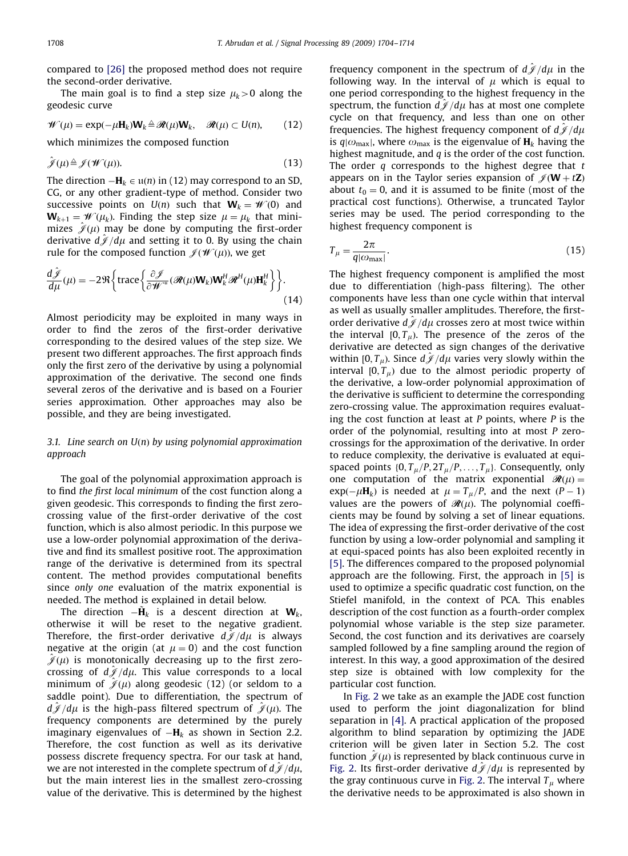compared to [\[26\]](#page-10-0) the proposed method does not require the second-order derivative.

The main goal is to find a step size  $\mu_b > 0$  along the geodesic curve

$$
\mathscr{W}(\mu) = \exp(-\mu \mathbf{H}_k) \mathbf{W}_k \triangleq \mathscr{R}(\mu) \mathbf{W}_k, \quad \mathscr{R}(\mu) \subset U(n), \qquad (12)
$$

which minimizes the composed function

$$
\hat{\mathcal{J}}(\mu) \triangleq \mathcal{J}(\mathcal{W}(\mu)). \tag{13}
$$

The direction  $-\mathbf{H}_k \in \mathfrak{u}(n)$  in (12) may correspond to an SD, CG, or any other gradient-type of method. Consider two successive points on  $U(n)$  such that  $W_k = W(0)$  and  $W_{k+1} = W(\mu_k)$ . Finding the step size  $\mu = \mu_k$  that minimizes  $\hat{\mathcal{J}}(\mu)$  may be done by computing the first-order derivative  $d\hat{\mathcal{J}}/d\mu$  and setting it to 0. By using the chain rule for the composed function  $\mathcal{J}(\mathcal{W}(\mu))$ , we get

$$
\frac{d\hat{\mathcal{J}}}{d\mu}(\mu) = -2\Re\bigg\{\text{trace}\bigg\{\frac{\partial\mathcal{J}}{\partial\mathcal{W}^*}(\mathcal{R}(\mu)\mathbf{W}_k)\mathbf{W}_k^H\mathcal{R}^H(\mu)\mathbf{H}_k^H\bigg\}\bigg\}.
$$
\n(14)

Almost periodicity may be exploited in many ways in order to find the zeros of the first-order derivative corresponding to the desired values of the step size. We present two different approaches. The first approach finds only the first zero of the derivative by using a polynomial approximation of the derivative. The second one finds several zeros of the derivative and is based on a Fourier series approximation. Other approaches may also be possible, and they are being investigated.

# 3.1. Line search on  $U(n)$  by using polynomial approximation approach

The goal of the polynomial approximation approach is to find the first local minimum of the cost function along a given geodesic. This corresponds to finding the first zerocrossing value of the first-order derivative of the cost function, which is also almost periodic. In this purpose we use a low-order polynomial approximation of the derivative and find its smallest positive root. The approximation range of the derivative is determined from its spectral content. The method provides computational benefits since only one evaluation of the matrix exponential is needed. The method is explained in detail below.

The direction  $-\tilde{H}_k$  is a descent direction at  $W_k$ , otherwise it will be reset to the negative gradient. Therefore, the first-order derivative  $d\hat{\mathcal{J}}/d\mu$  is always negative at the origin (at  $\mu = 0$ ) and the cost function  $\hat{\mathscr{J}}(\mu)$  is monotonically decreasing up to the first zerocrossing of  $d\hat{\mathcal{J}}/d\mu$ . This value corresponds to a local minimum of  $\hat{\mathcal{J}}(\mu)$  along geodesic (12) (or seldom to a saddle point). Due to differentiation, the spectrum of  $d\widetilde{\mathscr{J}}/d\mu$  is the high-pass filtered spectrum of  $\widetilde{\mathscr{J}}(\mu)$ . The frequency components are determined by the purely imaginary eigenvalues of  $-\mathbf{H}_{k}$  as shown in Section 2.2. Therefore, the cost function as well as its derivative possess discrete frequency spectra. For our task at hand, we are not interested in the complete spectrum of  $d\tilde{\mathcal{J}}/d\mu$ , but the main interest lies in the smallest zero-crossing value of the derivative. This is determined by the highest frequency component in the spectrum of  $d\hat{\mathcal{J}}/d\mu$  in the following way. In the interval of  $\mu$  which is equal to one period corresponding to the highest frequency in the spectrum, the function  $d\mathscr{J}/d\mu$  has at most one complete cycle on that frequency, and less than one on other frequencies. The highest frequency component of  $d\mathscr{J}/d\mu$ is  $q_{\text{max}}$ , where  $\omega_{\text{max}}$  is the eigenvalue of  $\mathbf{H}_k$  having the highest magnitude, and  $q$  is the order of the cost function. The order  $q$  corresponds to the highest degree that  $t$ appears on in the Taylor series expansion of  $\mathcal{J}(\mathbf{W} + t\mathbf{Z})$ about  $t_0 = 0$ , and it is assumed to be finite (most of the practical cost functions). Otherwise, a truncated Taylor series may be used. The period corresponding to the highest frequency component is

$$
T_{\mu} = \frac{2\pi}{q|\omega_{\text{max}}|}.
$$
\n(15)

The highest frequency component is amplified the most due to differentiation (high-pass filtering). The other components have less than one cycle within that interval as well as usually smaller amplitudes. Therefore, the firstorder derivative  $d\hat{\mathcal{J}}/d\mu$  crosses zero at most twice within the interval  $[0, T_u)$ . The presence of the zeros of the derivative are detected as sign changes of the derivative within  $[0, T_u)$ . Since  $d\hat{\mathcal{J}}/d\mu$  varies very slowly within the interval  $[0, T_\mu)$  due to the almost periodic property of the derivative, a low-order polynomial approximation of the derivative is sufficient to determine the corresponding zero-crossing value. The approximation requires evaluating the cost function at least at  $P$  points, where  $P$  is the order of the polynomial, resulting into at most P zerocrossings for the approximation of the derivative. In order to reduce complexity, the derivative is evaluated at equispaced points  $\{0, T_{\mu}/P, 2T_{\mu}/P, \ldots, T_{\mu}\}$ . Consequently, only one computation of the matrix exponential  $\mathcal{R}(\mu)$  =  $exp(-\mu H_k)$  is needed at  $\mu = T_\mu/P$ , and the next  $(P - 1)$ values are the powers of  $\mathcal{R}(\mu)$ . The polynomial coefficients may be found by solving a set of linear equations. The idea of expressing the first-order derivative of the cost function by using a low-order polynomial and sampling it at equi-spaced points has also been exploited recently in [\[5\].](#page-10-0) The differences compared to the proposed polynomial approach are the following. First, the approach in [\[5\]](#page-10-0) is used to optimize a specific quadratic cost function, on the Stiefel manifold, in the context of PCA. This enables description of the cost function as a fourth-order complex polynomial whose variable is the step size parameter. Second, the cost function and its derivatives are coarsely sampled followed by a fine sampling around the region of interest. In this way, a good approximation of the desired step size is obtained with low complexity for the particular cost function.

In [Fig. 2](#page-5-0) we take as an example the JADE cost function used to perform the joint diagonalization for blind separation in [\[4\].](#page-10-0) A practical application of the proposed algorithm to blind separation by optimizing the JADE criterion will be given later in Section 5.2. The cost function  $\hat{\mathcal{J}}(\mu)$  is represented by black continuous curve in [Fig. 2](#page-5-0). Its first-order derivative  $d\mathscr{J}/d\mu$  is represented by the gray continuous curve in [Fig. 2.](#page-5-0) The interval  $T_\mu$  where the derivative needs to be approximated is also shown in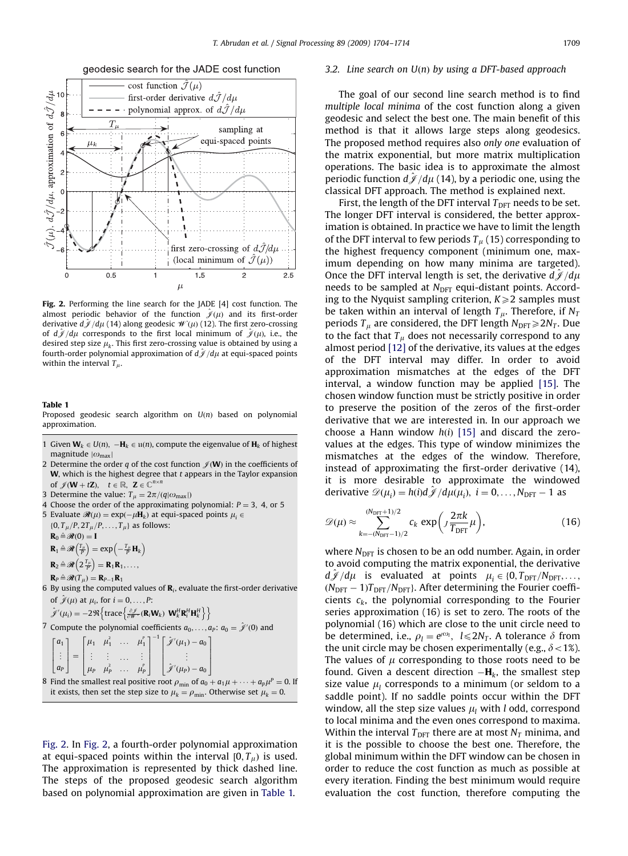<span id="page-5-0"></span>

#### geodesic search for the JADE cost function

Fig. 2. Performing the line search for the JADE [\[4\]](#page-10-0) cost function. The almost periodic behavior of the function  $\hat{\mathcal{J}}(\mu)$  and its first-order derivative  $d\hat{\mathcal{J}}/d\mu$  (14) along geodesic  $\mathcal{W}(\mu)$  (12). The first zero-crossing of  $d\hat{\mathcal{J}}/d\mu$  corresponds to the first local minimum of  $\hat{\mathcal{J}}(\mu)$ , i.e., the desired step size  $\mu_k$ . This first zero-crossing value is obtained by using a fourth-order polynomial approximation of  $d\hat{J}$  /d $\mu$  at equi-spaced points within the interval  $T_{\mu}$ .

#### Table 1

Proposed geodesic search algorithm on  $U(n)$  based on polynomial approximation.

- 1 Given  $\mathbf{W}_k \in U(n)$ ,  $-\mathbf{H}_k \in \mathfrak{u}(n)$ , compute the eigenvalue of  $\mathbf{H}_k$  of highest magnitude  $|\omega_{\text{max}}|$
- 2 Determine the order q of the cost function  $\mathcal{J}(\mathbf{W})$  in the coefficients of  $W$ , which is the highest degree that  $t$  appears in the Taylor expansion of  $\mathscr{J}(\mathbf{W} + t\mathbf{Z}), \quad t \in \mathbb{R}, \ \mathbf{Z} \in \mathbb{C}^{n \times n}$

3 Determine the value:  $T_{\mu} = 2\pi/(q|\omega_{\text{max}}|)$ 

4 Choose the order of the approximating polynomial:  $P = 3$ , 4, or 5

5 Evaluate  $\mathcal{R}(\mu) = \exp(-\mu \mathbf{H}_k)$  at equi-spaced points  $\mu_i \in$  $\{0, T_\mu/P, 2T_\mu/P, \ldots, T_\mu\}$  as follows:  $\mathbf{R}_0 \triangleq \mathcal{R}(0) = \mathbf{I}$ 

 $\mathbf{R}_1 \triangleq \mathcal{R}\left(\frac{T_\mu}{P}\right) = \exp\left(-\frac{T_\mu}{P}\mathbf{H}_k\right)$ 

 $\mathbf{R}_2 \triangleq \mathscr{R} \left( 2 \frac{T_\mu}{P} \right) = \mathbf{R}_1 \mathbf{R}_1, \ldots,$ 

- $\mathbf{R}_P \triangleq \mathcal{R}(T_{\mu}) = \mathbf{R}_{P-1}\mathbf{R}_1$
- 6 By using the computed values of  $\mathbf{R}_i$ , evaluate the first-order derivative of  $\hat{\mathcal{J}}(\mu)$  at  $\mu_i$ , for  $i = 0, \ldots, P$ :

$$
\hat{\mathscr{J}}'(\mu_i) = -2 \Re \left\{ \text{trace} \left\{ \frac{\partial \hat{\mathscr{J}}}{\partial \mathscr{W}^*} (\mathbf{R}_i \mathbf{W}_k) \ \mathbf{W}_k^H \mathbf{R}_i^H \mathbf{H}_k^H \right\} \right\}
$$

7 Compute the polynomial coefficients 
$$
a_0, \ldots, a_p
$$
:  $a_0 = \hat{\mathcal{J}}'(0)$  and

$$
\begin{bmatrix} a_1 \\ \vdots \\ a_p \end{bmatrix} = \begin{bmatrix} \mu_1 & \mu_1^2 & \cdots & \mu_1^p \\ \vdots & \vdots & \cdots & \vdots \\ \mu_p & \mu_p^2 & \cdots & \mu_p^p \end{bmatrix}^{-1} \begin{bmatrix} \hat{\mathcal{J}}'(\mu_1) - a_0 \\ \vdots \\ \hat{\mathcal{J}}'(\mu_p) - a_0 \end{bmatrix}
$$

8 Find the smallest real positive root  $\rho_{\min}$  of  $a_0 + a_1 \mu + \cdots + a_p \mu^p = 0$ . If it exists, then set the step size to  $\mu_k = \rho_{\min}$ . Otherwise set  $\mu_k = 0$ .

Fig. 2. In Fig. 2, a fourth-order polynomial approximation at equi-spaced points within the interval  $[0, T_{\mu})$  is used. The approximation is represented by thick dashed line. The steps of the proposed geodesic search algorithm based on polynomial approximation are given in Table 1.

### 3.2. Line search on  $U(n)$  by using a DFT-based approach

The goal of our second line search method is to find multiple local minima of the cost function along a given geodesic and select the best one. The main benefit of this method is that it allows large steps along geodesics. The proposed method requires also only one evaluation of the matrix exponential, but more matrix multiplication operations. The basic idea is to approximate the almost periodic function  $d\mathcal{J}/d\mu$  (14), by a periodic one, using the classical DFT approach. The method is explained next.

First, the length of the DFT interval  $T_{\text{DFT}}$  needs to be set. The longer DFT interval is considered, the better approximation is obtained. In practice we have to limit the length of the DFT interval to few periods  $T_u$  (15) corresponding to the highest frequency component (minimum one, maximum depending on how many minima are targeted). Once the DFT interval length is set, the derivative  $d\hat{\mathcal{J}}/d\mu$ needs to be sampled at  $N<sub>DET</sub>$  equi-distant points. According to the Nyquist sampling criterion,  $K \geq 2$  samples must be taken within an interval of length  $T_{\mu}$ . Therefore, if  $N_T$ periods  $T_{\mu}$  are considered, the DFT length  $N_{\text{DFT}} \geq 2N_T$ . Due to the fact that  $T_{\mu}$  does not necessarily correspond to any almost period [\[12\]](#page-10-0) of the derivative, its values at the edges of the DFT interval may differ. In order to avoid approximation mismatches at the edges of the DFT interval, a window function may be applied [\[15\]](#page-10-0). The chosen window function must be strictly positive in order to preserve the position of the zeros of the first-order derivative that we are interested in. In our approach we choose a Hann window  $h(i)$  [\[15\]](#page-10-0) and discard the zerovalues at the edges. This type of window minimizes the mismatches at the edges of the window. Therefore, instead of approximating the first-order derivative (14), it is more desirable to approximate the windowed derivative  $\mathcal{D}(\mu_i) = h(i)d\hat{\mathcal{J}}/d\mu(\mu_i), i = 0, \ldots, N_{\text{DFT}} - 1$  as

$$
\mathscr{D}(\mu) \approx \sum_{k=-(N_{\text{DFT}}-1)/2}^{(N_{\text{DFT}}+1)/2} c_k \exp\bigg(J\frac{2\pi k}{T_{\text{DFT}}}\mu\bigg),\tag{16}
$$

where  $N<sub>DFT</sub>$  is chosen to be an odd number. Again, in order to avoid computing the matrix exponential, the derivative  $d\mathscr{J}/d\mu$  is evaluated at points  $\mu_i \in \{0, T_{\text{DFT}}/N_{\text{DFT}}, \dots,$  $(N_{\text{DFT}}-1)T_{\text{DFT}}/N_{\text{DFT}}$ . After determining the Fourier coefficients  $c_k$ , the polynomial corresponding to the Fourier series approximation (16) is set to zero. The roots of the polynomial (16) which are close to the unit circle need to be determined, i.e.,  $\rho_l = e^{i\omega_l}$ ,  $l \leq 2N_T$ . A tolerance  $\delta$  from the unit circle may be chosen experimentally (e.g.,  $\delta$  < 1%). The values of  $\mu$  corresponding to those roots need to be found. Given a descent direction  $-\mathbf{H}_k$ , the smallest step size value  $\mu_l$  corresponds to a minimum (or seldom to a saddle point). If no saddle points occur within the DFT window, all the step size values  $\mu_l$  with *l* odd, correspond to local minima and the even ones correspond to maxima. Within the interval  $T_{\text{DFT}}$  there are at most  $N_T$  minima, and it is the possible to choose the best one. Therefore, the global minimum within the DFT window can be chosen in order to reduce the cost function as much as possible at every iteration. Finding the best minimum would require evaluation the cost function, therefore computing the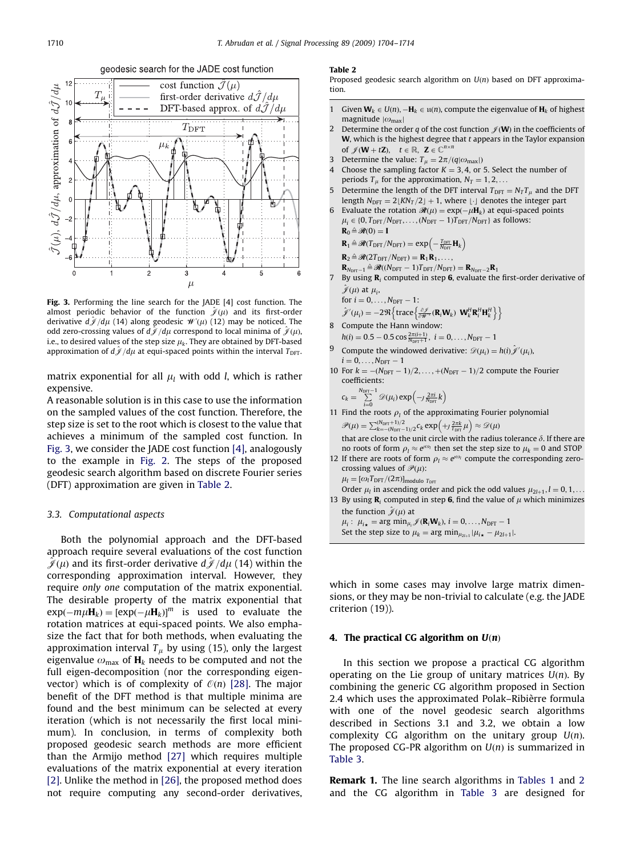<span id="page-6-0"></span>

Fig. 3. Performing the line search for the JADE [\[4\]](#page-10-0) cost function. The almost periodic behavior of the function  $\hat{\mathcal{J}}(\mu)$  and its first-order derivative  $d\hat{\mathcal{J}}/d\mu$  (14) along geodesic  $\mathcal{W}(\mu)$  (12) may be noticed. The odd zero-crossing values of  $d\hat{\mathcal{J}}/d\mu$  correspond to local minima of  $\hat{\mathcal{J}}(\mu)$ , i.e., to desired values of the step size  $\mu_k$ . They are obtained by DFT-based approximation of  $d\hat{\mathcal{J}}/d\mu$  at equi-spaced points within the interval  $T_{\text{DFT}}$ .

matrix exponential for all  $\mu_l$  with odd *l*, which is rather expensive.

A reasonable solution is in this case to use the information on the sampled values of the cost function. Therefore, the step size is set to the root which is closest to the value that achieves a minimum of the sampled cost function. In Fig. 3, we consider the JADE cost function [\[4\]](#page-10-0), analogously to the example in [Fig. 2](#page-5-0). The steps of the proposed geodesic search algorithm based on discrete Fourier series (DFT) approximation are given in Table 2.

## 3.3. Computational aspects

Both the polynomial approach and the DFT-based approach require several evaluations of the cost function  $\hat{\mathcal{J}}(\mu)$  and its first-order derivative  $d\hat{\mathcal{J}}/d\mu$  (14) within the corresponding approximation interval. However, they require only one computation of the matrix exponential. The desirable property of the matrix exponential that  $exp(-m\mu H_k) = [exp(-\mu H_k)]^m$  is used to evaluate the rotation matrices at equi-spaced points. We also emphasize the fact that for both methods, when evaluating the approximation interval  $T_\mu$  by using (15), only the largest eigenvalue  $\omega_{\text{max}}$  of  $\mathbf{H}_k$  needs to be computed and not the full eigen-decomposition (nor the corresponding eigenvector) which is of complexity of  $\mathcal{O}(n)$  [\[28\].](#page-10-0) The major benefit of the DFT method is that multiple minima are found and the best minimum can be selected at every iteration (which is not necessarily the first local minimum). In conclusion, in terms of complexity both proposed geodesic search methods are more efficient than the Armijo method [\[27\]](#page-10-0) which requires multiple evaluations of the matrix exponential at every iteration [\[2\].](#page-10-0) Unlike the method in [\[26\],](#page-10-0) the proposed method does not require computing any second-order derivatives,

#### Table 2

Proposed geodesic search algorithm on  $U(n)$  based on DFT approximation.

- 1 Given  $\mathbf{W}_k \in U(n)$ ,  $-\mathbf{H}_k \in \mathfrak{u}(n)$ , compute the eigenvalue of  $\mathbf{H}_k$  of highest magnitude  $|\omega_{\text{max}}|$
- 2 Determine the order q of the cost function  $\mathcal{J}(\mathbf{W})$  in the coefficients of  $W$ , which is the highest degree that  $t$  appears in the Taylor expansion of  $\mathscr{J}(\mathbf{W} + t\mathbf{Z}), \quad t \in \mathbb{R}, \ \mathbf{Z} \in \mathbb{C}^{n \times n}$
- Determine the value:  $T_{\mu} = 2\pi/(q|\omega_{\text{max}}|)$
- 4 Choose the sampling factor  $K = 3, 4$ , or 5. Select the number of periods  $T_u$  for the approximation,  $N_T = 1, 2, \ldots$
- 5 Determine the length of the DFT interval  $T_{\text{DFT}} = N_T T_\mu$  and the DFT length  $N_{\text{DFT}} = 2 \lfloor K N_T / 2 \rfloor + 1$ , where  $\lfloor \cdot \rfloor$  denotes the integer part
- 6 Evaluate the rotation  $\mathcal{R}(\mu) = \exp(-\mu \mathbf{H}_k)$  at equi-spaced points  $\mu_i \in \{0, T_{\text{DFT}}/N_{\text{DFT}}, \ldots, (N_{\text{DFT}} - 1)T_{\text{DFT}}/N_{\text{DFT}}\}$  as follows:  $\mathbf{R}_0 \triangleq \mathcal{R}(0) = \mathbf{I}$

$$
\mathbf{R}_1 \triangleq \mathcal{R}(T_{\text{DFT}}/N_{\text{DFT}}) = \exp\left(-\frac{T_{\text{DFT}}}{N_{\text{DFT}}} \mathbf{H}_k\right)
$$

$$
\mathbf{R}_2 \triangleq \mathcal{R}(2T_{DFT}/N_{DFT}) = \mathbf{R}_1 \mathbf{R}_1, \ldots,
$$

- $\mathbf{R}_{N_{\text{DFT}}-1}\triangleq\mathcal{R}((N_{\text{DFT}}-1)T_{\text{DFT}}/N_{\text{DFT}})=\mathbf{R}_{N_{\text{DFT}}-2}\mathbf{R}_1$
- 7 By using  $\mathbf{R}_i$  computed in step 6, evaluate the first-order derivative of  $\hat{\mathscr{J}}(\mu)$  at  $\mu_i$ ,
- for  $i = 0, ..., N_{DFT} 1$ :  $\hat{\mathcal{J}}'(\mu_i) = -2 \Re \left\{ \text{trace} \left\{ \frac{\partial \hat{\mathcal{J}}}{\partial \mathcal{W}^*} (\mathbf{R}_i \mathbf{W}_k) \ \mathbf{W}_k^H \mathbf{R}_i^H \mathbf{H}_k^H \right\} \right\}$ 8 Compute the Hann window:
- $h(i) = 0.5 0.5 \cos \frac{2\pi(i+1)}{N_{\text{DFT}}+1}, i = 0, \ldots, N_{\text{DFT}} 1$
- <sup>9</sup> Compute the windowed derivative:  $\mathscr{D}(\mu_i) = h(i) \hat{\mathscr{J}}'(\mu_i)$ ,  $i = 0, \ldots, N_{\text{DFT}} - 1$
- 10 For  $k = -(N_{\text{DFT}} 1)/2, ..., +(N_{\text{DFT}} 1)/2$  compute the Fourier coefficients:

$$
c_k = \sum_{i=0}^{N_{\text{DFT}}-1} \mathcal{D}(\mu_i) \exp\left(-J \frac{2\pi i}{N_{\text{DFT}}} k\right)
$$

- 11 Find the roots  $\rho_l$  of the approximating Fourier polynomial  $\mathscr{P}(\mu) = \sum_{k=-\frac{(N_{\text{DFT}}+1)}{2}}^{(N_{\text{DFT}}+1)}(2c_k \exp\left(+\frac{2\pi k}{T_{\text{DFT}}} \mu\right) \approx \mathscr{D}(\mu)$ that are close to the unit circle with the radius tolerance  $\delta$ . If there are
- no roots of form  $\rho_l \approx e^{i\omega_l}$  then set the step size to  $\mu_k = 0$  and STOP 12 If there are roots of form  $\rho_l \approx e^{\rho\omega_l}$  compute the corresponding zero-

crossing values of  $\mathcal{P}(\mu)$ :  $\mu_l = [\omega_l T_{\rm DFT}/(2\pi)]_{\rm modulo\ T_{\rm DFT}}$ 

Order  $\mu_l$  in ascending order and pick the odd values  $\mu_{2l+1}, l = 0, 1, \ldots$ 13 By using  $\mathbf{R}_i$  computed in step 6, find the value of  $\mu$  which minimizes

the function  $\hat{\mathcal{J}}(\mu)$  at

```
\mu_i: \mu_{i\star} = \arg \min_{\mu_i} \mathcal{J}(\mathbf{R}_i \mathbf{W}_k), i = 0, \dots, N_{\text{DFT}} - 1Set the step size to \mu_k = \arg \min_{\mu_{2l+1}} |\mu_{i\star} - \mu_{2l+1}|.
```
which in some cases may involve large matrix dimensions, or they may be non-trivial to calculate (e.g. the JADE criterion (19)).

## 4. The practical CG algorithm on  $U(n)$

In this section we propose a practical CG algorithm operating on the Lie group of unitary matrices  $U(n)$ . By combining the generic CG algorithm proposed in Section 2.4 which uses the approximated Polak–Ribièrre formula with one of the novel geodesic search algorithms described in Sections 3.1 and 3.2, we obtain a low complexity CG algorithm on the unitary group  $U(n)$ . The proposed CG-PR algorithm on  $U(n)$  is summarized in [Table 3.](#page-7-0)

**Remark 1.** The line search algorithms in [Tables 1](#page-5-0) and 2 and the CG algorithm in [Table 3](#page-7-0) are designed for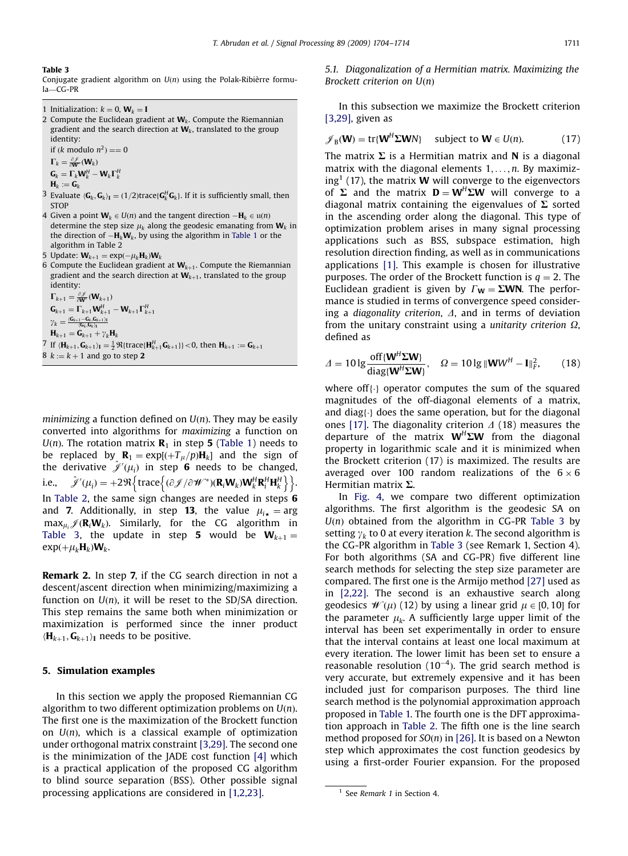#### <span id="page-7-0"></span>Table 3

Conjugate gradient algorithm on  $U(n)$  using the Polak-Ribièrre formula—CG-PR

1 Initialization:  $k = 0$ ,  $W_k = I$ 

2 Compute the Euclidean gradient at  $W_k$ . Compute the Riemannian gradient and the search direction at  $W_k$ , translated to the group identity:

if  $(k \text{ modulo } n^2) == 0$  $\Gamma_k = \frac{\partial \mathcal{J}}{\partial \mathbf{W}^*}(\mathbf{W}_k)$ 

- $\mathbf{G}_k = \mathbf{\Gamma}_k \mathbf{W}_k^H \mathbf{W}_k \mathbf{\Gamma}_k^H$
- $H_k := G_k$
- <sup>3</sup> Evaluate  $\langle G_k, G_k \rangle_I = (1/2)$ trace $\{G_k^H G_k\}$ . If it is sufficiently small, then **STOP**
- 4 Given a point  $\mathbf{W}_k \in U(n)$  and the tangent direction  $-\mathbf{H}_k \in \mathfrak{u}(n)$ determine the step size  $\mu_k$  along the geodesic emanating from  $\mathbf{W}_k$  in the direction of  $-\mathbf{H}_k \mathbf{W}_k$ , by using the algorithm in [Table 1](#page-5-0) or the algorithm in Table 2
- 5 Update:  $\mathbf{W}_{k+1} = \exp(-\mu_k \mathbf{H}_k)\mathbf{W}_k$
- 6 Compute the Euclidean gradient at  $W_{k+1}$ . Compute the Riemannian gradient and the search direction at  $W_{k+1}$ , translated to the group identity:

 $\Gamma_{k+1} = \frac{\partial \mathscr{J}}{\partial \mathbf{W}^*}(\mathbf{W}_{k+1})$  $\mathbf{G}_{k+1} = \boldsymbol{\Gamma}_{k+1} \mathbf{W}_{k+1}^H - \mathbf{W}_{k+1} \boldsymbol{\Gamma}_{k+1}^H$  ${\gamma}_k = \frac{\langle \mathbf{G}_{k+1}-\mathbf{G}_{k},\mathbf{G}_{k+1}\rangle_{\text{I}}}{\langle \mathbf{G}_{k},\mathbf{G}_{k}\rangle_{\text{I}}}$  $H_{k+1} = G_{k+1} + \gamma_k H_k$  $7$  If  $\langle \mathbf{H}_{k+1}, \mathbf{G}_{k+1} \rangle_{\mathbf{I}} = \frac{1}{2} \Re \{\text{trace} \{\mathbf{H}_{k+1}^H \mathbf{G}_{k+1}\} \} < 0$ , then  $\mathbf{H}_{k+1} := \mathbf{G}_{k+1}$ 8  $k := k + 1$  and go to step 2

*minimizing* a function defined on  $U(n)$ . They may be easily converted into algorithms for maximizing a function on  $U(n)$ . The rotation matrix  $\mathbf{R}_1$  in step 5 ([Table 1\)](#page-5-0) needs to be replaced by  $\mathbf{R}_1 = \exp[(+T_\mu/p)\mathbf{H}_k]$  and the sign of the derivative  $\hat{\mathscr{J}}'(\mu_i)$  in step **6** needs to be changed, i.e.,  $\hat{\mathscr{J}}'(\mu_i) = +2\Re\left\{\text{trace}\left\{(\partial \mathscr{J}/\partial \mathscr{W}^*) (\mathbf{R}_i \mathbf{W}_k) \mathbf{W}_k^H \mathbf{R}_i^H \mathbf{H}_k^H\right\}\right\}.$ In [Table 2,](#page-6-0) the same sign changes are needed in steps 6 and 7. Additionally, in step 13, the value  $\mu_{i\star} = \arg$  $\max_{\mu_i} \mathscr{J}(\mathbf{R}_i \mathbf{W}_k)$ . Similarly, for the CG algorithm in Table 3, the update in step 5 would be  $W_{k+1} =$  $exp(+\mu_kH_k)W_k$ .

Remark 2. In step 7, if the CG search direction in not a descent/ascent direction when minimizing/maximizing a function on  $U(n)$ , it will be reset to the SD/SA direction. This step remains the same both when minimization or maximization is performed since the inner product  $\langle \mathbf{H}_{k+1}, \mathbf{G}_{k+1} \rangle$  needs to be positive.

## 5. Simulation examples

In this section we apply the proposed Riemannian CG algorithm to two different optimization problems on  $U(n)$ . The first one is the maximization of the Brockett function on  $U(n)$ , which is a classical example of optimization under orthogonal matrix constraint [\[3,29\]](#page-10-0). The second one is the minimization of the JADE cost function [\[4\]](#page-10-0) which is a practical application of the proposed CG algorithm to blind source separation (BSS). Other possible signal processing applications are considered in [\[1,2,23\]](#page-10-0).

5.1. Diagonalization of a Hermitian matrix. Maximizing the Brockett criterion on  $U(n)$ 

In this subsection we maximize the Brockett criterion [\[3,29\]](#page-10-0), given as

$$
\mathscr{J}_{B}(\mathbf{W}) = \text{tr}\{\mathbf{W}^{H}\boldsymbol{\Sigma}\mathbf{W}N\} \quad \text{subject to } \mathbf{W} \in U(n). \tag{17}
$$

The matrix  $\Sigma$  is a Hermitian matrix and N is a diagonal matrix with the diagonal elements  $1, \ldots, n$ . By maximizing<sup>1</sup> (17), the matrix **W** will converge to the eigenvectors of  $\Sigma$  and the matrix  $D = W^H \Sigma W$  will converge to a diagonal matrix containing the eigenvalues of  $\Sigma$  sorted in the ascending order along the diagonal. This type of optimization problem arises in many signal processing applications such as BSS, subspace estimation, high resolution direction finding, as well as in communications applications [\[1\]](#page-10-0). This example is chosen for illustrative purposes. The order of the Brockett function is  $q = 2$ . The Euclidean gradient is given by  $\Gamma_W = \Sigma W N$ . The performance is studied in terms of convergence speed considering a diagonality criterion,  $\Delta$ , and in terms of deviation from the unitary constraint using a *unitarity criterion*  $\Omega$ , defined as

$$
\Delta = 10 \lg \frac{\text{off}\{\mathbf{W}^H \boldsymbol{\Sigma} \mathbf{W}\}}{\text{diag}\{\mathbf{W}^H \boldsymbol{\Sigma} \mathbf{W}\}}, \quad \Omega = 10 \lg \|\mathbf{W} \mathbf{W}^H - \mathbf{I}\|_F^2, \tag{18}
$$

where off $\{\cdot\}$  operator computes the sum of the squared magnitudes of the off-diagonal elements of a matrix, and diag $\{\cdot\}$  does the same operation, but for the diagonal ones [\[17\].](#page-10-0) The diagonality criterion  $\Delta$  (18) measures the departure of the matrix  $W^H\Sigma W$  from the diagonal property in logarithmic scale and it is minimized when the Brockett criterion (17) is maximized. The results are averaged over 100 random realizations of the  $6 \times 6$ Hermitian matrix  $\Sigma$ .

In [Fig. 4](#page-8-0), we compare two different optimization algorithms. The first algorithm is the geodesic SA on  $U(n)$  obtained from the algorithm in CG-PR Table 3 by setting  $\gamma_k$  to 0 at every iteration k. The second algorithm is the CG-PR algorithm in Table 3 (see Remark 1, Section 4). For both algorithms (SA and CG-PR) five different line search methods for selecting the step size parameter are compared. The first one is the Armijo method [\[27\]](#page-10-0) used as in [\[2,22\].](#page-10-0) The second is an exhaustive search along geodesics  $\mathcal{W}(\mu)$  (12) by using a linear grid  $\mu \in [0, 10]$  for the parameter  $\mu_k$ . A sufficiently large upper limit of the interval has been set experimentally in order to ensure that the interval contains at least one local maximum at every iteration. The lower limit has been set to ensure a reasonable resolution  $(10^{-4})$ . The grid search method is very accurate, but extremely expensive and it has been included just for comparison purposes. The third line search method is the polynomial approximation approach proposed in [Table 1.](#page-5-0) The fourth one is the DFT approximation approach in [Table 2](#page-6-0). The fifth one is the line search method proposed for  $SO(n)$  in [\[26\].](#page-10-0) It is based on a Newton step which approximates the cost function geodesics by using a first-order Fourier expansion. For the proposed

<sup>&</sup>lt;sup>1</sup> See Remark 1 in Section 4.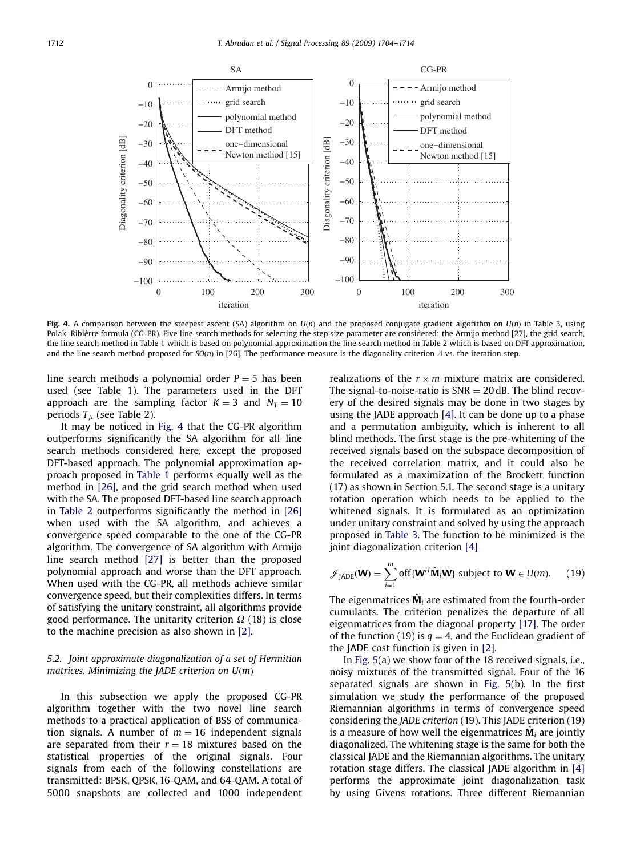<span id="page-8-0"></span>

Fig. 4. A comparison between the steepest ascent (SA) algorithm on  $U(n)$  and the proposed conjugate gradient algorithm on  $U(n)$  in [Table 3](#page-7-0), using Polak–Ribièrre formula (CG-PR). Five line search methods for selecting the step size parameter are considered: the Armijo method [\[27\]](#page-10-0), the grid search, the line search method in [Table 1](#page-5-0) which is based on polynomial approximation the line search method in [Table 2](#page-6-0) which is based on DFT approximation, and the line search method proposed for  $SO(n)$  in [\[26\]](#page-10-0). The performance measure is the diagonality criterion  $\Delta$  vs. the iteration step.

line search methods a polynomial order  $P = 5$  has been used (see Table 1). The parameters used in the DFT approach are the sampling factor  $K = 3$  and  $N_T = 10$ periods  $T_u$  (see Table 2).

It may be noticed in Fig. 4 that the CG-PR algorithm outperforms significantly the SA algorithm for all line search methods considered here, except the proposed DFT-based approach. The polynomial approximation approach proposed in [Table 1](#page-5-0) performs equally well as the method in [\[26\],](#page-10-0) and the grid search method when used with the SA. The proposed DFT-based line search approach in [Table 2](#page-6-0) outperforms significantly the method in [\[26\]](#page-10-0) when used with the SA algorithm, and achieves a convergence speed comparable to the one of the CG-PR algorithm. The convergence of SA algorithm with Armijo line search method [\[27\]](#page-10-0) is better than the proposed polynomial approach and worse than the DFT approach. When used with the CG-PR, all methods achieve similar convergence speed, but their complexities differs. In terms of satisfying the unitary constraint, all algorithms provide good performance. The unitarity criterion  $\Omega$  (18) is close to the machine precision as also shown in [\[2\]](#page-10-0).

# 5.2. Joint approximate diagonalization of a set of Hermitian matrices. Minimizing the JADE criterion on  $U(m)$

In this subsection we apply the proposed CG-PR algorithm together with the two novel line search methods to a practical application of BSS of communication signals. A number of  $m = 16$  independent signals are separated from their  $r = 18$  mixtures based on the statistical properties of the original signals. Four signals from each of the following constellations are transmitted: BPSK, QPSK, 16-QAM, and 64-QAM. A total of 5000 snapshots are collected and 1000 independent

realizations of the  $r \times m$  mixture matrix are considered. The signal-to-noise-ratio is  $SNR = 20$  dB. The blind recovery of the desired signals may be done in two stages by using the JADE approach [\[4\].](#page-10-0) It can be done up to a phase and a permutation ambiguity, which is inherent to all blind methods. The first stage is the pre-whitening of the received signals based on the subspace decomposition of the received correlation matrix, and it could also be formulated as a maximization of the Brockett function (17) as shown in Section 5.1. The second stage is a unitary rotation operation which needs to be applied to the whitened signals. It is formulated as an optimization under unitary constraint and solved by using the approach proposed in [Table 3](#page-7-0). The function to be minimized is the joint diagonalization criterion [\[4\]](#page-10-0)

$$
\mathscr{J}_{\text{JADE}}(\mathbf{W}) = \sum_{i=1}^{m} \text{off}\{\mathbf{W}^{H}\hat{\mathbf{M}}_{i}\mathbf{W}\}\text{ subject to }\mathbf{W}\in U(m). \qquad (19)
$$

The eigenmatrices  $\hat{\mathbf{M}}_i$  are estimated from the fourth-order cumulants. The criterion penalizes the departure of all eigenmatrices from the diagonal property [\[17\].](#page-10-0) The order of the function (19) is  $q = 4$ , and the Euclidean gradient of the JADE cost function is given in [\[2\].](#page-10-0)

In [Fig. 5\(](#page-9-0)a) we show four of the 18 received signals, i.e., noisy mixtures of the transmitted signal. Four of the 16 separated signals are shown in [Fig. 5](#page-9-0)(b). In the first simulation we study the performance of the proposed Riemannian algorithms in terms of convergence speed considering the JADE criterion (19). This JADE criterion (19) is a measure of how well the eigenmatrices  $M_i$  are jointly diagonalized. The whitening stage is the same for both the classical JADE and the Riemannian algorithms. The unitary rotation stage differs. The classical JADE algorithm in [\[4\]](#page-10-0) performs the approximate joint diagonalization task by using Givens rotations. Three different Riemannian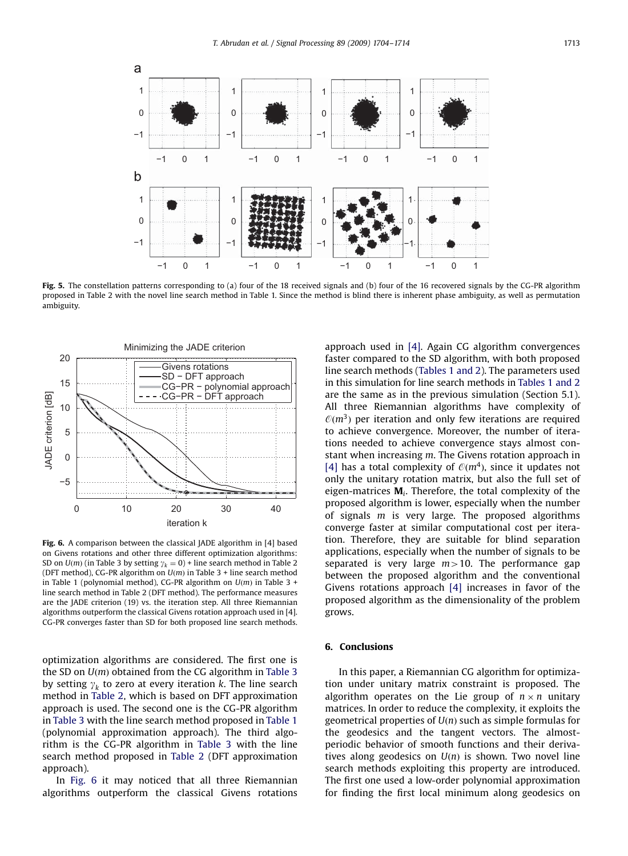<span id="page-9-0"></span>

Fig. 5. The constellation patterns corresponding to (a) four of the 18 received signals and (b) four of the 16 recovered signals by the CG-PR algorithm proposed in [Table 2](#page-6-0) with the novel line search method in [Table 1.](#page-5-0) Since the method is blind there is inherent phase ambiguity, as well as permutation ambiguity.



Fig. 6. A comparison between the classical JADE algorithm in [\[4\]](#page-10-0) based on Givens rotations and other three different optimization algorithms: SD on  $U(m)$  (in [Table 3](#page-7-0) by setting  $\gamma_k = 0$ ) + line search method in [Table 2](#page-6-0) (DFT method), CG-PR algorithm on  $U(m)$  in [Table 3](#page-7-0) + line search method in [Table 1](#page-5-0) (polynomial method), CG-PR algorithm on  $U(m)$  in [Table 3](#page-7-0) + line search method in [Table 2](#page-6-0) (DFT method). The performance measures are the JADE criterion (19) vs. the iteration step. All three Riemannian algorithms outperform the classical Givens rotation approach used in [\[4\]](#page-10-0). CG-PR converges faster than SD for both proposed line search methods.

optimization algorithms are considered. The first one is the SD on  $U(m)$  obtained from the CG algorithm in [Table 3](#page-7-0) by setting  $\gamma_k$  to zero at every iteration k. The line search method in [Table 2](#page-6-0), which is based on DFT approximation approach is used. The second one is the CG-PR algorithm in [Table 3](#page-7-0) with the line search method proposed in [Table 1](#page-5-0) (polynomial approximation approach). The third algorithm is the CG-PR algorithm in [Table 3](#page-7-0) with the line search method proposed in [Table 2](#page-6-0) (DFT approximation approach).

In Fig. 6 it may noticed that all three Riemannian algorithms outperform the classical Givens rotations

approach used in [\[4\].](#page-10-0) Again CG algorithm convergences faster compared to the SD algorithm, with both proposed line search methods [\(Tables 1 and 2](#page-5-0)). The parameters used in this simulation for line search methods in [Tables 1 and 2](#page-5-0) are the same as in the previous simulation (Section 5.1). All three Riemannian algorithms have complexity of  $\mathcal{O}(m^3)$  per iteration and only few iterations are required to achieve convergence. Moreover, the number of iterations needed to achieve convergence stays almost constant when increasing m. The Givens rotation approach in [\[4\]](#page-10-0) has a total complexity of  $O(m<sup>4</sup>)$ , since it updates not only the unitary rotation matrix, but also the full set of eigen-matrices  $M_i$ . Therefore, the total complexity of the proposed algorithm is lower, especially when the number of signals m is very large. The proposed algorithms converge faster at similar computational cost per iteration. Therefore, they are suitable for blind separation applications, especially when the number of signals to be separated is very large  $m>10$ . The performance gap between the proposed algorithm and the conventional Givens rotations approach [\[4\]](#page-10-0) increases in favor of the proposed algorithm as the dimensionality of the problem grows.

## 6. Conclusions

In this paper, a Riemannian CG algorithm for optimization under unitary matrix constraint is proposed. The algorithm operates on the Lie group of  $n \times n$  unitary matrices. In order to reduce the complexity, it exploits the geometrical properties of  $U(n)$  such as simple formulas for the geodesics and the tangent vectors. The almostperiodic behavior of smooth functions and their derivatives along geodesics on  $U(n)$  is shown. Two novel line search methods exploiting this property are introduced. The first one used a low-order polynomial approximation for finding the first local minimum along geodesics on